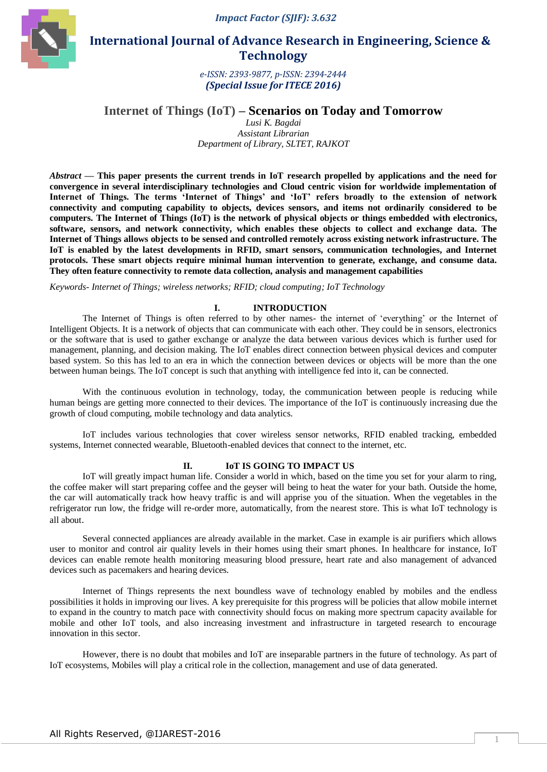

*Impact Factor (SJIF): 3.632*

# **International Journal of Advance Research in Engineering, Science & Technology**

*e-ISSN: 2393-9877, p-ISSN: 2394-2444 (Special Issue for ITECE 2016)*

## **Internet of Things (IoT) – Scenarios on Today and Tomorrow**

*Lusi K. Bagdai Assistant Librarian Department of Library, SLTET, RAJKOT*

*Abstract* **— This paper presents the current trends in IoT research propelled by applications and the need for convergence in several interdisciplinary technologies and Cloud centric vision for worldwide implementation of Internet of Things. The terms 'Internet of Things' and 'IoT' refers broadly to the extension of network connectivity and computing capability to objects, devices sensors, and items not ordinarily considered to be computers. The Internet of Things (IoT) is the network of physical objects or things embedded with electronics, software, sensors, and network connectivity, which enables these objects to collect and exchange data. The Internet of Things allows objects to be sensed and controlled remotely across existing network infrastructure. The IoT is enabled by the latest developments in RFID, smart sensors, communication technologies, and Internet protocols. These smart objects require minimal human intervention to generate, exchange, and consume data. They often feature connectivity to remote data collection, analysis and management capabilities**

*Keywords- Internet of Things; wireless networks; RFID; cloud computing; IoT Technology*

### **I. INTRODUCTION**

The Internet of Things is often referred to by other names- the internet of "everything" or the Internet of Intelligent Objects. It is a network of objects that can communicate with each other. They could be in sensors, electronics or the software that is used to gather exchange or analyze the data between various devices which is further used for management, planning, and decision making. The IoT enables direct connection between physical devices and computer based system. So this has led to an era in which the connection between devices or objects will be more than the one between human beings. The IoT concept is such that anything with intelligence fed into it, can be connected.

With the continuous evolution in technology, today, the communication between people is reducing while human beings are getting more connected to their devices. The importance of the IoT is continuously increasing due the growth of cloud computing, mobile technology and data analytics.

IoT includes various technologies that cover wireless sensor networks, RFID enabled tracking, embedded systems, Internet connected wearable, Bluetooth-enabled devices that connect to the internet, etc.

#### **II. IoT IS GOING TO IMPACT US**

IoT will greatly impact human life. Consider a world in which, based on the time you set for your alarm to ring, the coffee maker will start preparing coffee and the geyser will being to heat the water for your bath. Outside the home, the car will automatically track how heavy traffic is and will apprise you of the situation. When the vegetables in the refrigerator run low, the fridge will re-order more, automatically, from the nearest store. This is what IoT technology is all about.

Several connected appliances are already available in the market. Case in example is air purifiers which allows user to monitor and control air quality levels in their homes using their smart phones. In healthcare for instance, IoT devices can enable remote health monitoring measuring blood pressure, heart rate and also management of advanced devices such as pacemakers and hearing devices.

Internet of Things represents the next boundless wave of technology enabled by mobiles and the endless possibilities it holds in improving our lives. A key prerequisite for this progress will be policies that allow mobile internet to expand in the country to match pace with connectivity should focus on making more spectrum capacity available for mobile and other IoT tools, and also increasing investment and infrastructure in targeted research to encourage innovation in this sector.

However, there is no doubt that mobiles and IoT are inseparable partners in the future of technology. As part of IoT ecosystems, Mobiles will play a critical role in the collection, management and use of data generated.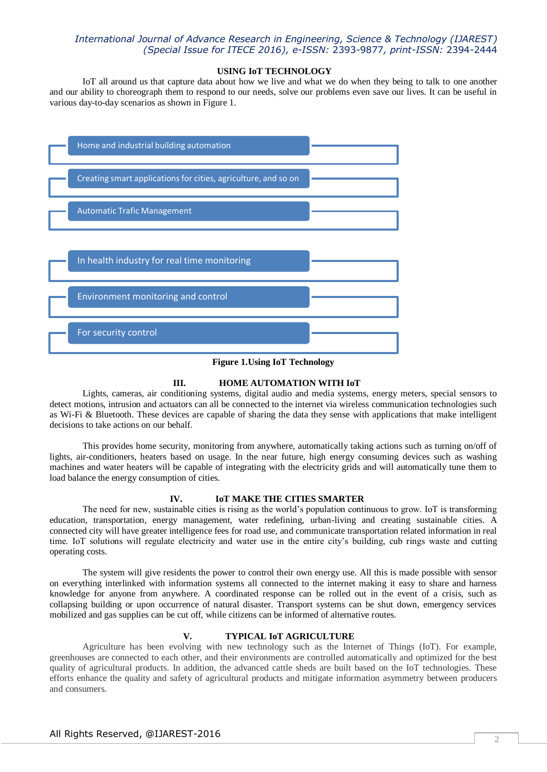## *International Journal of Advance Research in Engineering, Science & Technology (IJAREST) (Special Issue for ITECE 2016), e-ISSN:* 2393-9877*, print-ISSN:* 2394-2444

#### **USING IoT TECHNOLOGY**

IoT all around us that capture data about how we live and what we do when they being to talk to one another and our ability to choreograph them to respond to our needs, solve our problems even save our lives. It can be useful in various day-to-day scenarios as shown in Figure 1.



**Figure 1.Using IoT Technology**

#### **III. HOME AUTOMATION WITH IoT**

Lights, cameras, air conditioning systems, digital audio and media systems, energy meters, special sensors to detect motions, intrusion and actuators can all be connected to the internet via wireless communication technologies such as Wi-Fi & Bluetooth. These devices are capable of sharing the data they sense with applications that make intelligent decisions to take actions on our behalf.

This provides home security, monitoring from anywhere, automatically taking actions such as turning on/off of lights, air-conditioners, heaters based on usage. In the near future, high energy consuming devices such as washing machines and water heaters will be capable of integrating with the electricity grids and will automatically tune them to load balance the energy consumption of cities.

## **IV. IoT MAKE THE CITIES SMARTER**

The need for new, sustainable cities is rising as the world"s population continuous to grow. IoT is transforming education, transportation, energy management, water redefining, urban-living and creating sustainable cities. A connected city will have greater intelligence fees for road use, and communicate transportation related information in real time. IoT solutions will regulate electricity and water use in the entire city"s building, cub rings waste and cutting operating costs.

The system will give residents the power to control their own energy use. All this is made possible with sensor on everything interlinked with information systems all connected to the internet making it easy to share and harness knowledge for anyone from anywhere. A coordinated response can be rolled out in the event of a crisis, such as collapsing building or upon occurrence of natural disaster. Transport systems can be shut down, emergency services mobilized and gas supplies can be cut off, while citizens can be informed of alternative routes.

## **V. TYPICAL IoT AGRICULTURE**

Agriculture has been evolving with new technology such as the Internet of Things (IoT). For example, greenhouses are connected to each other, and their environments are controlled automatically and optimized for the best quality of agricultural products. In addition, the advanced cattle sheds are built based on the IoT technologies. These efforts enhance the quality and safety of agricultural products and mitigate information asymmetry between producers and consumers.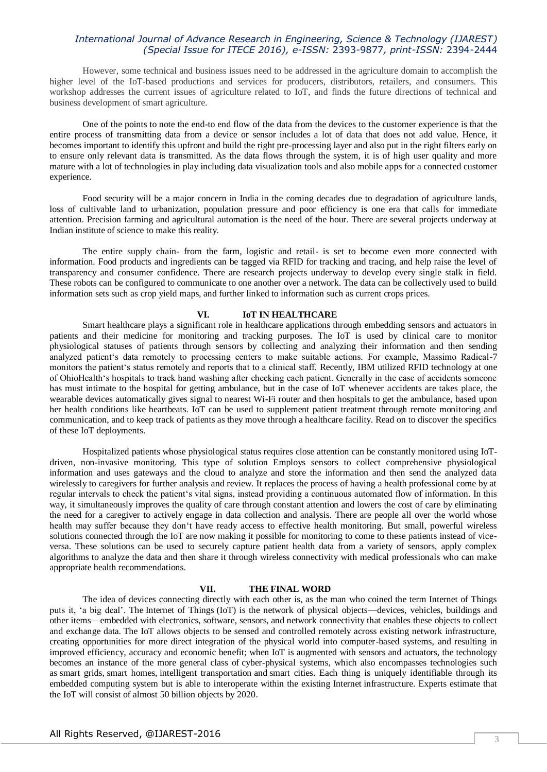## *International Journal of Advance Research in Engineering, Science & Technology (IJAREST) (Special Issue for ITECE 2016), e-ISSN:* 2393-9877*, print-ISSN:* 2394-2444

However, some technical and business issues need to be addressed in the agriculture domain to accomplish the higher level of the IoT-based productions and services for producers, distributors, retailers, and consumers. This workshop addresses the current issues of agriculture related to IoT, and finds the future directions of technical and business development of smart agriculture.

One of the points to note the end-to end flow of the data from the devices to the customer experience is that the entire process of transmitting data from a device or sensor includes a lot of data that does not add value. Hence, it becomes important to identify this upfront and build the right pre-processing layer and also put in the right filters early on to ensure only relevant data is transmitted. As the data flows through the system, it is of high user quality and more mature with a lot of technologies in play including data visualization tools and also mobile apps for a connected customer experience.

Food security will be a major concern in India in the coming decades due to degradation of agriculture lands, loss of cultivable land to urbanization, population pressure and poor efficiency is one era that calls for immediate attention. Precision farming and agricultural automation is the need of the hour. There are several projects underway at Indian institute of science to make this reality.

The entire supply chain- from the farm, logistic and retail- is set to become even more connected with information. Food products and ingredients can be tagged via RFID for tracking and tracing, and help raise the level of transparency and consumer confidence. There are research projects underway to develop every single stalk in field. These robots can be configured to communicate to one another over a network. The data can be collectively used to build information sets such as crop yield maps, and further linked to information such as current crops prices.

#### **VI. IoT IN HEALTHCARE**

Smart healthcare plays a significant role in healthcare applications through embedding sensors and actuators in patients and their medicine for monitoring and tracking purposes. The IoT is used by clinical care to monitor physiological statuses of patients through sensors by collecting and analyzing their information and then sending analyzed patient's data remotely to processing centers to make suitable actions. For example, Massimo Radical-7 monitors the patient"s status remotely and reports that to a clinical staff. Recently, IBM utilized RFID technology at one of OhioHealth"s hospitals to track hand washing after checking each patient. Generally in the case of accidents someone has must intimate to the hospital for getting ambulance, but in the case of IoT whenever accidents are takes place, the wearable devices automatically gives signal to nearest Wi-Fi router and then hospitals to get the ambulance, based upon her health conditions like heartbeats. IoT can be used to supplement patient treatment through remote monitoring and communication, and to keep track of patients as they move through a healthcare facility. Read on to discover the specifics of these IoT deployments.

Hospitalized patients whose physiological status requires close attention can be constantly monitored using IoTdriven, non-invasive monitoring. This type of solution Employs sensors to collect comprehensive physiological information and uses gateways and the cloud to analyze and store the information and then send the analyzed data wirelessly to caregivers for further analysis and review. It replaces the process of having a health professional come by at regular intervals to check the patient"s vital signs, instead providing a continuous automated flow of information. In this way, it simultaneously improves the quality of care through constant attention and lowers the cost of care by eliminating the need for a caregiver to actively engage in data collection and analysis. There are people all over the world whose health may suffer because they don"t have ready access to effective health monitoring. But small, powerful wireless solutions connected through the IoT are now making it possible for monitoring to come to these patients instead of viceversa. These solutions can be used to securely capture patient health data from a variety of sensors, apply complex algorithms to analyze the data and then share it through wireless connectivity with medical professionals who can make appropriate health recommendations.

#### **VII. THE FINAL WORD**

The idea of devices connecting directly with each other is, as the man who coined the term Internet of Things puts it, "a big deal". The Internet of Things (IoT) is the network of physical objects—devices, vehicles, buildings and other items[—embedded](https://en.wikipedia.org/wiki/Embedded_system) with electronics, software, [sensors,](https://en.wikipedia.org/wiki/Sensor) and [network connectivity](https://en.wikipedia.org/wiki/Internet_access) that enables these objects to collect and exchange data. The IoT allows objects to be sensed and controlled remotely across existing network infrastructure, creating opportunities for more direct integration of the physical world into computer-based systems, and resulting in improved efficiency, accuracy and economic benefit; when IoT is augmented with sensors and actuators, the technology becomes an instance of the more general class of [cyber-physical systems,](https://en.wikipedia.org/wiki/Cyber-physical_system) which also encompasses technologies such as [smart grids,](https://en.wikipedia.org/wiki/Smart_grid) [smart homes,](https://en.wikipedia.org/wiki/Smart_home) [intelligent transportation](https://en.wikipedia.org/wiki/Intelligent_transportation) and [smart cities.](https://en.wikipedia.org/wiki/Smart_city) Each thing is uniquely identifiable through its embedded computing system but is able to interoperate within the existing [Internet](https://en.wikipedia.org/wiki/Internet) infrastructure. Experts estimate that the IoT will consist of almost 50 billion objects by 2020.